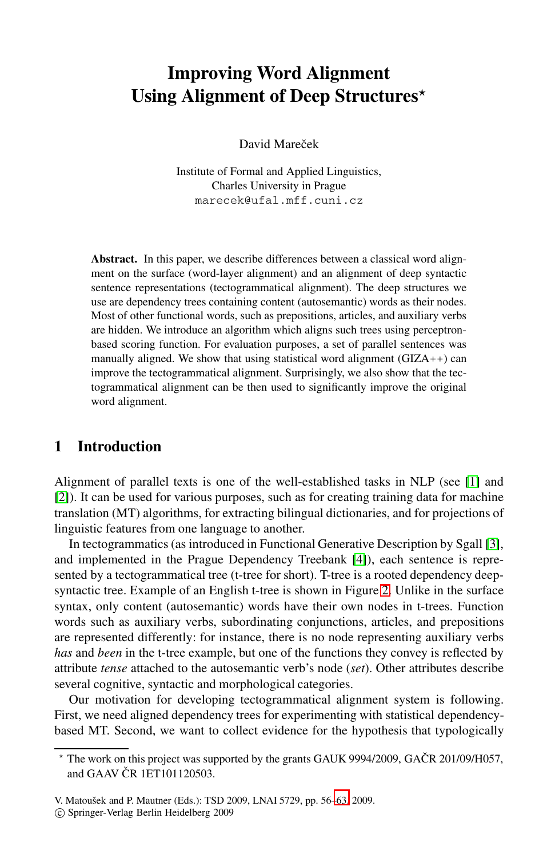# **Improving Word Alignment Using Alignment of Deep Structures***-*

David Mareček

Institute of Formal and Applied Linguistics, Charles University in Prague marecek@ufal.mff.cuni.cz

**Abstract.** In this paper, we describe differences between a classical word alignment on the surface (word-layer alignment) and an alignment of deep syntactic sentence representations (tectogrammatical alignment). The deep structures we use are dependency trees containing content (autosemantic) words as their nodes. Most of other functional words, such as prepositions, articles, and auxiliary verbs are hidden. We introduce an algorithm which aligns such trees using perceptronbased scoring function. For evaluation purposes, a set of parallel sentences was manually ali[gn](#page-6-0)ed. We show that using statistical word alignment  $(GIZA++)$  can improve the tectogrammatical alignment. Surprisingly, we also show that the tectogrammatical alignment can be then used to significantly improve the original word alignment.

# **1 Introduction**

Alignment of parallel texts is one of the [w](#page-2-0)ell-established tasks in NLP (see [1] and [2]). It can be used for various purposes, such as for creating training data for machine translation (MT) algorithms, for extracting bilingual dictionaries, and for projections of linguistic features from one language to another.

In tectogrammatics (as introduced in Functional Generative Description by Sgall [3], and implemented in the Prague Dependency Treebank [4]), each sentence is represented by a tectogrammatical tree (t-tree for short). T-tree is a rooted dependency deepsyntactic tree. Example of an English t-tree is shown in Figure 2. Unlike in the surface syntax, only content (autosemantic) words have their own nodes in t-trees. Function words such as auxiliary verbs, subordinating conjunctions, articles, and prepositions are represented differently: for instance, there is no node representing auxiliary verbs *has* and *been* in the t-tree example, but one of the functions they convey is reflected by attribute *tense* attached to the autosemantic verb's node (*set*). Other attributes describe several cognitive, syntactic and [morp](#page-7-0)hological categories.

Our motivation for developing tectogrammatical alignment system is following. First, we need aligned dependency trees for experimenting with statistical dependencybased MT. Second, we want to collect evidence for the hypothesis that typologically

<sup>-</sup>The work on this project was supported by the grants GAUK 9994/2009, GAČR 201/09/H057, and GAAV ČR 1ET101120503.

V. Matouˇsek and P. Mautner (Eds.): TSD 2009, LNAI 5729, pp. 56–63, 2009.

<sup>-</sup>c Springer-Verlag Berlin Heidelberg 2009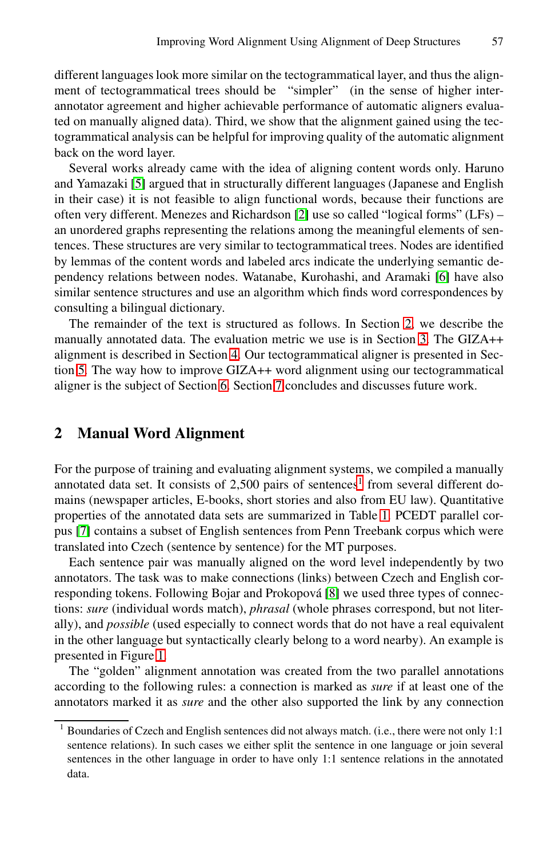different languages look more similar on the tectogrammatical layer, and thus the alignment of tectogrammatica[l tr](#page-6-1)ees should be "simpler" (in the sense of higher interannotator agreement and higher achievable performance of automatic aligners evaluated on manually aligned data). Third, we show that the alignment gained using the tectogrammatical analysis can be helpful for improving quality of the automatic alignment back on the word layer.

Several works already came with the idea of alig[ni](#page-7-1)ng content words only. Haruno and Yamazaki [5] argued that in structurally different languages (Japanese and English in their case) it is not feasible to align functi[on](#page-1-0)al words, because their functions are often very different. Menezes and Richardson [2] [us](#page-3-0)e so called "logical forms" (LFs) – an unordere[d g](#page-3-1)raphs representing the relations among the meaningful elements of sentences. These structures are very similar to tectogrammatical trees. Nodes are identified by lemmas [of](#page-6-2) the co[nte](#page-6-3)nt words and labeled arcs indicate the underlying semantic dependency relations between nodes. Watanabe, Kurohashi, and Aramaki [6] have also similar sentence structures and use an algorithm which finds word correspondences by consulting a bilingual dictionary.

<span id="page-1-0"></span>The remainder of the text is structured as follows. In Section 2, we describe the manually annotated data. The evaluation metric we use is in Section 3. The GIZA++ alignment is described in Section 4. Our tectogrammatical aligner is presented in Section 5. The way how to improve GIZ[A](#page-1-1)++ word alignment using our tectogrammatical aligner is the subject of Section 6. Section [7](#page-3-2) concludes and discusses future work.

## **2 Manual Word Alignment**

For the purpose of training and [ev](#page-7-2)aluating alignment systems, we compiled a manually annotated data set. It consists of  $2,500$  pairs of sentences<sup>1</sup> from several different domains (newspaper articles, E-books, short stories and also from EU law). Quantitative properties of the annotated data sets are summarized in Table 1. PCEDT parallel cor[p](#page-2-1)us [7] contains a subset of English sentences from Penn Treebank corpus which were translated into Czech (sentence by sentence) for the MT purposes.

Each sentence pair was manually aligned on the word level independently by two annotators. The task was to make connections (links) between Czech and English corresponding tokens. Following Bojar and Prokopová [8] we used three types of connections: *sure* (individual words match), *phrasal* (whole phrases correspond, but not literally), and *possible* (used especially to connect words that do not have a real equivalent in the other language but syntactically clearly belong to a word nearby). An example is presented in Figure 1.

<span id="page-1-1"></span>The "golden" alignment annotation was created from the two parallel annotations according to the following rules: a connection is marked as *sure* if at least one of the annotators marked it as *sure* and the other also supported the link by any connection

<sup>1</sup> Boundaries of Czech and English sentences did not always match. (i.e., there were not only 1:1 sentence relations). In such cases we either split the sentence in one language or join several sentences in the other language in order to have only 1:1 sentence relations in the annotated data.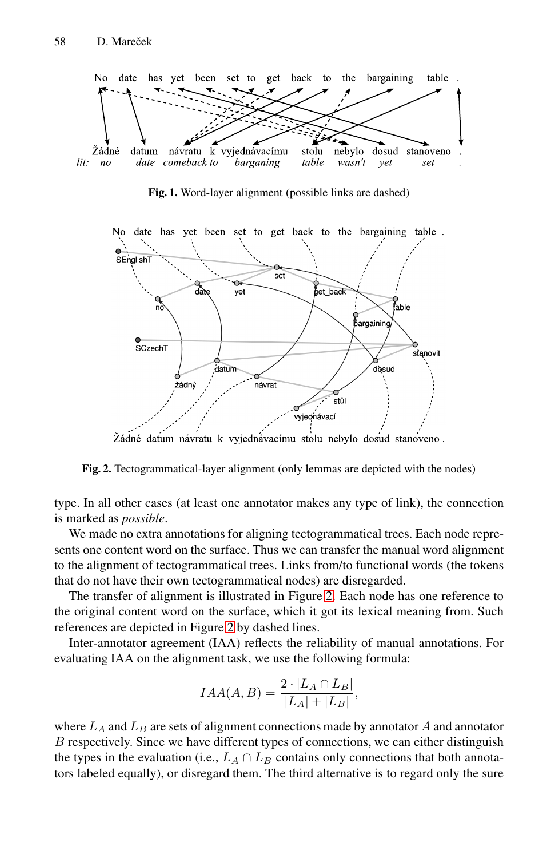58 D. Mareček

<span id="page-2-1"></span>

**Fig. 1.** Word-layer alignment (possible links are dashed)



<span id="page-2-0"></span>Žádné datum návratu k vyjednávacímu stolu nebylo dosud stanoveno.

**Fig. 2.** Tectogrammatical-lay[er](#page-2-0) alignment (only lemmas are depicted with the nodes)

type. In all [oth](#page-2-0)er cases (at least one annotator makes any type of link), the connection is marked as *possible*.

We made no extra annotations for aligning tectogrammatical trees. Each node represents one content word on the surface. Thus we can transfer the manual word alignment to the alignment of tectogrammatical trees. Links from/to functional words (the tokens that do not have their own tectogrammatical nodes) are disregarded.

The transfer of alignment is illustrated in Figure 2. Each node has one reference to the original content word on the surface, which it got its lexical meaning from. Such references are depicted in Figure 2 by dashed lines.

Inter-annotator agreement (IAA) reflects the reliability of manual annotations. For evaluating IAA on the alignment task, we use the following formula:

$$
IAA(A, B) = \frac{2 \cdot |L_A \cap L_B|}{|L_A| + |L_B|},
$$

where  $L_A$  and  $L_B$  are sets of alignment connections made by annotator  $A$  and annotator *B* respectively. Since we have different types of connections, we can either distinguish the types in the evaluation (i.e.,  $L_A \cap L_B$  contains only connections that both annotators labeled equally), or disregard them. The third alternative is to regard only the sure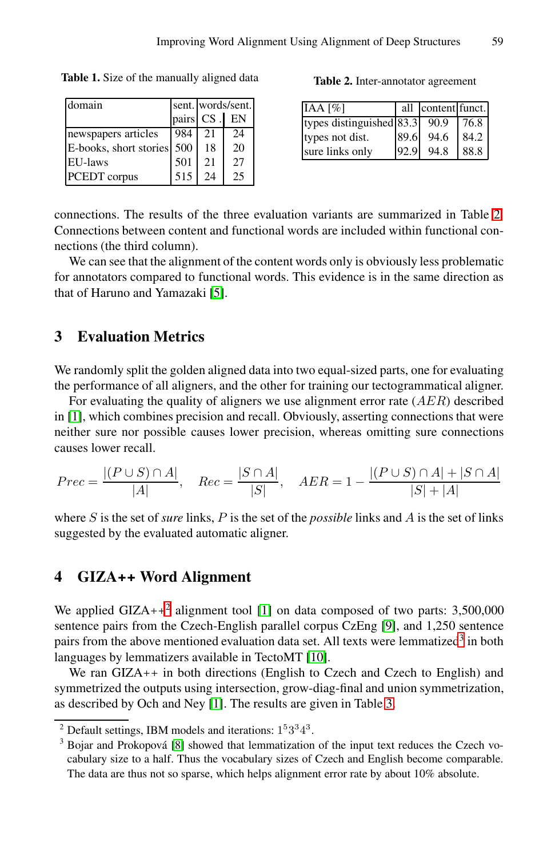<span id="page-3-2"></span>**Table 1.** Size of the manually aligned data

| domain                     |     | sent. words/sent. |    |  |
|----------------------------|-----|-------------------|----|--|
|                            |     | pairs CS.         | EN |  |
| newspapers articles        | 984 | 21                | 24 |  |
| E-books, short stories 500 |     | 18                | 20 |  |
| EU-laws                    | 501 | 21                | 27 |  |
| PCEDT corpus               | 515 | 24                | 25 |  |

**Table 2.** Inter-annotator agreement

| IAA [%]                         |      | all content funct. |        |
|---------------------------------|------|--------------------|--------|
| types distinguished $83.3$ 90.9 |      |                    | I 76.8 |
| types not dist.                 | 89.6 | 94.6               | 84.2   |
| sure links only                 | 92.9 | 94.8               | 88.8   |

<span id="page-3-0"></span>connections. The results of the three evaluation variants are summarized in Table 2. Connections between content and functional words are included within functional connections (the third column).

We can see that the alignment of the content words only is obviously less problematic for annotators compared to functional words. This evidence is in the same direction as that of Haruno and Yamazaki [5].

#### **3 Evaluation Metrics**

We randomly split the golden aligned data into two equal-sized parts, one for evaluating the performance of all aligners, and the other for training our tectogrammatical aligner.

For evaluating the quality of aligners we use alignment error rate (*AER*) described in [1], which combines precision and recall. Obviously, asserting connections that were neither sure nor possible causes lower precision, whereas omitting sure connections causes lower recall.

<span id="page-3-1"></span>
$$
Prec = \frac{|(P \cup S) \cap A|}{|A|}, \quad Rec = \frac{|S \cap A|}{|S|}, \quad AER = 1 - \frac{|(P \cup S) \cap A| + |S \cap A|}{|S| + |A|}
$$

where *S* is the set of *sure* links, *P* is the set [of](#page-7-4) the *possible* [l](#page-3-4)inks and *A* is the set of links suggested by the evaluated a[uto](#page-7-5)matic aligner.

# **4 GI[ZA](#page-6-0)++ Word Alignment**

<span id="page-3-4"></span><span id="page-3-3"></span>We applied GIZA++<sup>2</sup> alignment tool [1] on data composed of two parts:  $3,500,000$ se[nt](#page-7-2)ence pairs from the Czech-English parallel corpus CzEng [9], and 1,250 sentence pairs from the above mentioned evaluation data set. All texts were lemmatized<sup>3</sup> in both languages by lemmatizers available in TectoMT [10].

We ran GIZA++ in both directions (English to Czech and Czech to English) and symmetrized the outputs using intersection, grow-diag-final and union symmetrization, as described by Och and Ney [1]. The results are given in Table 3.

<sup>&</sup>lt;sup>2</sup> Default settings, IBM models and iterations:  $1<sup>5</sup>3<sup>3</sup>4<sup>3</sup>$ .

 $3$  Bojar and Prokopová [8] showed that lemmatization of the input text reduces the Czech vocabulary size to a half. Thus the vocabulary sizes of Czech and English become comparable. The data are thus not so sparse, which helps alignment error rate by about 10% absolute.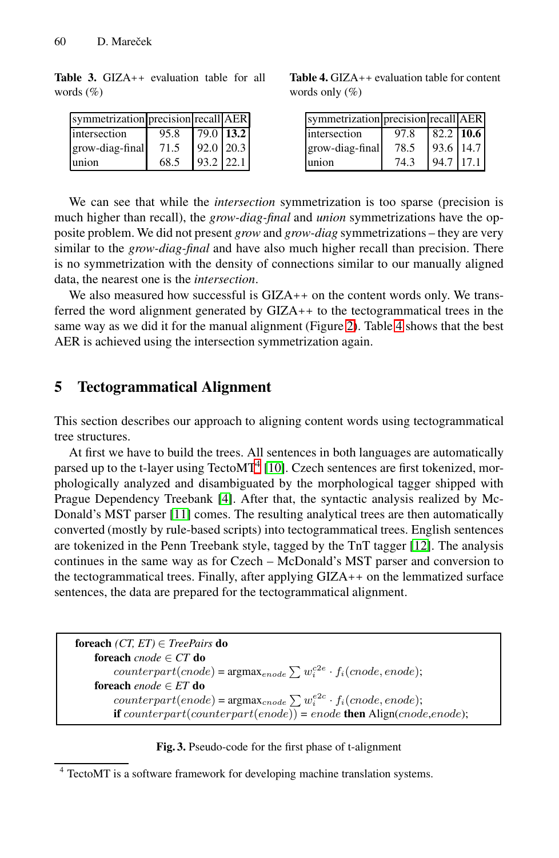#### <span id="page-4-3"></span>60 D. Mareček

**Table 3.** GIZA++ evaluation table for all words (%)

| symmetrization precision recall AER |      |             |  |
|-------------------------------------|------|-------------|--|
| intersection                        | 95.8 | $79.0$ 13.2 |  |
| grow-diag-final                     | 71.5 | $92.0$ 20.3 |  |
| union                               | 68.5 | $93.2$ 22.1 |  |

<span id="page-4-0"></span>**Table 4.** GIZA++ evaluation table for content words only (%)

| symmetrization precision recall AER |      |               |  |
|-------------------------------------|------|---------------|--|
| intersection                        | 97.8 | $82.2$ 10.6   |  |
| grow-diag-final                     | 78.5 | 93.6 14.7     |  |
| union                               | 74.3 | $94.7$   17.1 |  |

We can see that while the *inte[rse](#page-2-0)ction* s[ym](#page-4-0)metrization is too sparse (precision is much higher than recall), the *grow-diag-final* and *union* symmetrizations have the opposite problem. We did not present *grow* and *grow-diag* symmetrizations – they are very similar to the *grow-diag-final* and have also much higher recall than precision. There is no symmetrization with the density of connections similar to our manually aligned data, the nearest one is the *intersection*.

We also measured how successful is GIZA++ on the content words only. We transferred the word alignment generated by GIZA++ to the tectogrammatical trees in the same way as we did it for the manual alignment (Figure 2). Table 4 shows that the best AER is achieved [us](#page-4-1)i[ng](#page-7-5) the intersection symmetrization again.

#### **5 [T](#page-7-7)ecto[gr](#page-7-6)ammatical Alignment**

This section describes our approach to aligning [con](#page-7-8)tent words using tectogrammatical tree structures.

At first we have to build the trees. All sentences in both languages are automatically parsed up to the t-layer using  $TectoMT<sup>4</sup>$  [10]. Czech sentences are first tokenized, morphologically analyzed and disambiguated by the morphological tagger shipped with Prague Dependency Treebank [4]. After that, the syntactic analysis realized by Mc-Donald's MST parser [11] comes. The resulting analytical trees are then automatically converted (mostly by rule-based scripts) into tectogrammatical trees. English sentences are tokenized in the Penn Treebank style, tagged by the TnT tagger [12]. The analysis continues in the same way as for Czech – McDonald's MST parser and conversion to the tectogrammatical trees. Finally, after applying GIZA++ on the lemmatized surface sentences, the data are prepared for the tectogrammatical alignment.

<span id="page-4-2"></span><span id="page-4-1"></span>

| <b>foreach</b> ( <i>CT</i> , $ET$ ) $\in$ <i>TreePairs</i> <b>do</b>                      |
|-------------------------------------------------------------------------------------------|
| <b>foreach</b> cnode $\in$ CT <b>do</b>                                                   |
| $counterpart(node) = \text{argmax}_{encode} \sum w_i^{c2e} \cdot f_i (encode, encode);$   |
| <b>foreach</b> enode $\in ET$ do                                                          |
| $counterpart(encode) = \text{argmax}_{encode} \sum w_i^{e2c} \cdot f_i (encode, encode);$ |
| <b>if</b> counterpart(counterpart(enode)) = enode <b>then</b> Align(cnode,enode);         |

**Fig. 3.** Pseudo-code for the first phase of t-alignment

<sup>4</sup> TectoMT is a software framework for developing machine translation systems.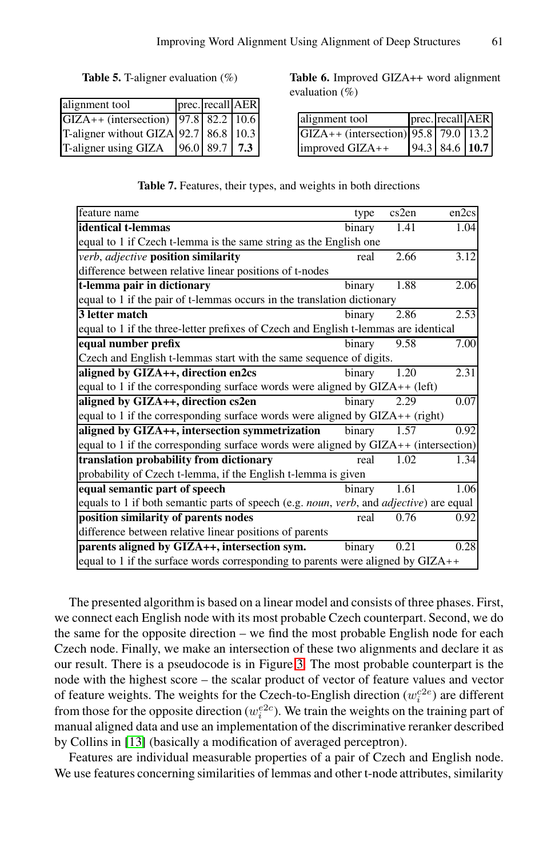<span id="page-5-0"></span>**Table 5.** T-aligner evaluation (%)

| alignment tool                            | prec. recall AER |  |
|-------------------------------------------|------------------|--|
| GIZA++ (intersection) 97.8 82.2 10.6      |                  |  |
| T-aligner without GIZA 92.7   86.8   10.3 |                  |  |
| T-aligner using GIZA                      | $96.0$ 89.7 7.3  |  |

**Table 6.** Improved GIZA++ word alignment evaluation (%)

| alignment tool                       | prec. recall AER |  |
|--------------------------------------|------------------|--|
| GIZA++ (intersection) 95.8 79.0 13.2 |                  |  |
| improved GIZA++                      | 94.3 84.6 10.7   |  |

| feature name                                                                            | type   | cs2en | en2cs |  |  |
|-----------------------------------------------------------------------------------------|--------|-------|-------|--|--|
| identical t-lemmas                                                                      | binary | 1.41  | 1.04  |  |  |
| equal to 1 if Czech t-lemma is the same string as the English one                       |        |       |       |  |  |
| verb, adjective position similarity                                                     | real   | 2.66  | 3.12  |  |  |
| difference between relative linear positions of t-nodes                                 |        |       |       |  |  |
| t-lemma pair in dictionary                                                              | binary | 1.88  | 2.06  |  |  |
| equal to 1 if the pair of t-lemmas occurs in the translation dictionary                 |        |       |       |  |  |
| 3 letter match                                                                          | binary | 2.86  | 2.53  |  |  |
| equal to 1 if the three-letter prefixes of Czech and English t-lemmas are identical     |        |       |       |  |  |
| equal number prefix                                                                     | binary | 9.58  | 7.00  |  |  |
| Czech and English t-lemmas start with the same sequence of digits.                      |        |       |       |  |  |
| aligned by GIZA++, direction en2cs                                                      | binary | 1.20  | 2.31  |  |  |
| equal to 1 if the corresponding surface words were aligned by $GIZA++$ (left)           |        |       |       |  |  |
| aligned by GIZA++, direction cs2en                                                      | binary | 2.29  | 0.07  |  |  |
| equal to 1 if the corresponding surface words were aligned by $GIZA++$ (right)          |        |       |       |  |  |
| aligned by GIZA++, intersection symmetrization                                          | binary | 1.57  | 0.92  |  |  |
| equal to 1 if the corresponding surface words were aligned by GIZA++ (intersection)     |        |       |       |  |  |
| translation probability from dictionary                                                 | real   | 1.02  | 1.34  |  |  |
| probability of Czech t-lemma, if the English t-lemma is given                           |        |       |       |  |  |
| equal semantic part of speech                                                           | binary | 1.61  | 1.06  |  |  |
| equals to 1 if both semantic parts of speech (e.g. noun, verb, and adjective) are equal |        |       |       |  |  |
| position similarity of parents nodes                                                    | real   | 0.76  | 0.92  |  |  |
| difference between relative linear positions of parents                                 |        |       |       |  |  |
| parents aligned by GIZA++, intersection sym.                                            | binary | 0.21  | 0.28  |  |  |
| equal to 1 if the surface words corresponding to parents were aligned by $GIZA++$       |        |       |       |  |  |

**Table 7.** Features, their types, and weights in both directions

The presented algorithm is based on a linear model and consists of three phases. First, we connect each English node with its most probable Czech counterpart. Second, we do the same for the opposite direction – we find the most probable English node for each Czech node. Finally, we make an intersection of these two alignments and declare it as our result. There is a pseudocode is in Figure 3. The most probable counterpart is the node with the highest score – the scalar product of vector of feature values and vector of feature weights. The weights for the Czech-to-English direction  $(w_i^{c2e})$  are different from those for the opposite direction ( $w_i^{e2c}$ ). We train the weights on the training part of manual aligned data and use an implementation of the discriminative reranker described by Collins in [13] (basically a modification of averaged perceptron).

Features are individual measurable properties of a pair of Czech and English node. We use features concerning similarities of lemmas and other t-node attributes, similarity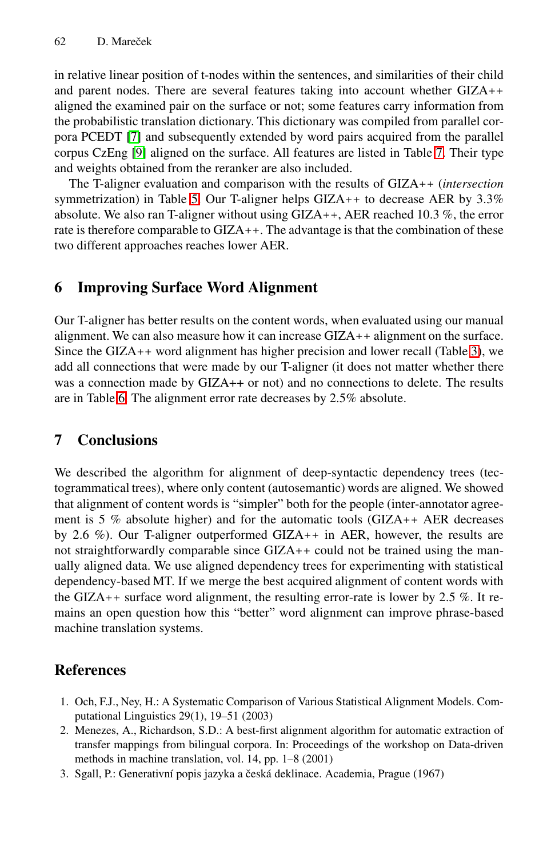#### 62 D. Mareček

in rel[ati](#page-5-0)ve linear position of t-nodes within the sentences, and similarities of their child and parent nodes. There are several features taking into account whether GIZA++ aligned the examined pair on the surface or not; some features carry information from the probabilistic translation dictionary. This dictionary was compiled from parallel corpora PCEDT [7] and subsequently extended by word pairs acquired from the parallel corpus CzEng [9] aligned on the surface. All features are listed in Table 7. Their type and weights obtained from the reranker are also included.

<span id="page-6-2"></span>The T-aligner evaluation and comparison with the results of GIZA++ (*intersection* symmetrization) in Table 5. Our T-aligner helps GIZA++ to decrease AER by 3.3% absolute. We also ran T-aligner without using GIZA++, AER reached 10.3 %, the error rate is therefore comparable to GIZA++. The advantage is t[hat](#page-4-3) the combination of these two different approaches reaches lower AER.

## <span id="page-6-3"></span>**6 Improving Surface Word Alignment**

Our T-aligner has better results on the content words, when evaluated using our manual alignment. We can also measure how it can increase GIZA++ alignment on the surface. Since the GIZA++ word alignment has higher precision and lower recall (Table 3), we add all connections that were made by our T-aligner (it does not matter whether there was a connection made by GIZA++ or not) and no connections to delete. The results are in Table 6. The alignment error rate decreases by 2.5% absolute.

## **7 Conclusions**

<span id="page-6-0"></span>We described the algorithm for alignment of deep-syntactic dependency trees (tectogrammatical trees), where only content (autosemantic) words are aligned. We showed that alignment of content words is "simpler" both for the people (inter-annotator agreement is 5 % absolute higher) and for the automatic tools (GIZA++ AER decreases by 2.6 %). Our T-aligner outperformed GIZA++ in AER, however, the results are not straightforwardly comparable since  $GIZA++$  could not be trained using the manually aligned data. We use aligned dependency trees for experimenting with statistical dependency-based MT. If we merge the best acquired alignment of content words with the GIZA++ surface word alignment, the resulting error-rate is lower by 2.5 %. It remains an open question how this "better" word alignment can improve phrase-based machine translation systems.

# <span id="page-6-1"></span>**References**

- 1. Och, F.J., Ney, H.: A Systematic Comparison of Various Statistical Alignment Models. Computational Linguistics 29(1), 19–51 (2003)
- 2. Menezes, A., Richardson, S.D.: A best-first alignment algorithm for automatic extraction of transfer mappings from bilingual corpora. In: Proceedings of the workshop on Data-driven methods in machine translation, vol. 14, pp. 1–8 (2001)
- 3. Sgall, P.: Generativní popis jazyka a česká deklinace. Academia, Prague (1967)